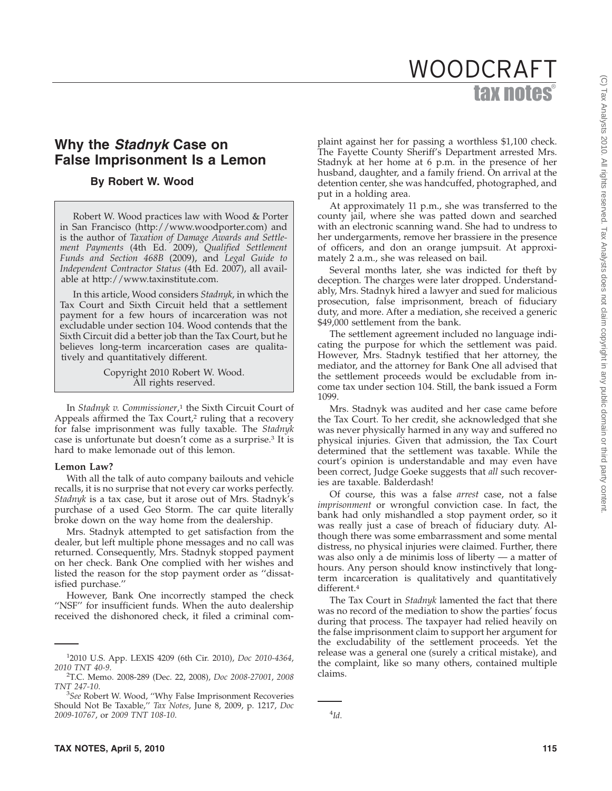# tax notes® WOODCRAFT

# **Why the** *Stadnyk* **Case on False Imprisonment Is a Lemon**

## **By Robert W. Wood**

Robert W. Wood practices law with Wood & Porter in San Francisco (http://www.woodporter.com) and is the author of *Taxation of Damage Awards and Settlement Payments* (4th Ed. 2009), *Qualified Settlement Funds and Section 468B* (2009), and *Legal Guide to Independent Contractor Status* (4th Ed. 2007), all available at http://www.taxinstitute.com.

In this article, Wood considers *Stadnyk*, in which the Tax Court and Sixth Circuit held that a settlement payment for a few hours of incarceration was not excludable under section 104. Wood contends that the Sixth Circuit did a better job than the Tax Court, but he believes long-term incarceration cases are qualitatively and quantitatively different.

> Copyright 2010 Robert W. Wood. All rights reserved.

In *Stadnyk v. Commissioner*, <sup>1</sup> the Sixth Circuit Court of Appeals affirmed the Tax Court,<sup>2</sup> ruling that a recovery for false imprisonment was fully taxable. The *Stadnyk* case is unfortunate but doesn't come as a surprise.3 It is hard to make lemonade out of this lemon.

#### **Lemon Law?**

With all the talk of auto company bailouts and vehicle recalls, it is no surprise that not every car works perfectly. *Stadnyk* is a tax case, but it arose out of Mrs. Stadnyk's purchase of a used Geo Storm. The car quite literally broke down on the way home from the dealership.

Mrs. Stadnyk attempted to get satisfaction from the dealer, but left multiple phone messages and no call was returned. Consequently, Mrs. Stadnyk stopped payment on her check. Bank One complied with her wishes and listed the reason for the stop payment order as ''dissatisfied purchase.''

However, Bank One incorrectly stamped the check "NSF" for insufficient funds. When the auto dealership received the dishonored check, it filed a criminal com-

plaint against her for passing a worthless \$1,100 check. The Fayette County Sheriff's Department arrested Mrs. Stadnyk at her home at 6 p.m. in the presence of her husband, daughter, and a family friend. On arrival at the detention center, she was handcuffed, photographed, and put in a holding area.

At approximately 11 p.m., she was transferred to the county jail, where she was patted down and searched with an electronic scanning wand. She had to undress to her undergarments, remove her brassiere in the presence of officers, and don an orange jumpsuit. At approximately 2 a.m., she was released on bail.

Several months later, she was indicted for theft by deception. The charges were later dropped. Understandably, Mrs. Stadnyk hired a lawyer and sued for malicious prosecution, false imprisonment, breach of fiduciary duty, and more. After a mediation, she received a generic \$49,000 settlement from the bank.

The settlement agreement included no language indicating the purpose for which the settlement was paid. However, Mrs. Stadnyk testified that her attorney, the mediator, and the attorney for Bank One all advised that the settlement proceeds would be excludable from income tax under section 104. Still, the bank issued a Form 1099.

Mrs. Stadnyk was audited and her case came before the Tax Court. To her credit, she acknowledged that she was never physically harmed in any way and suffered no physical injuries. Given that admission, the Tax Court determined that the settlement was taxable. While the court's opinion is understandable and may even have been correct, Judge Goeke suggests that *all* such recoveries are taxable. Balderdash!

Of course, this was a false *arrest* case, not a false *imprisonment* or wrongful conviction case. In fact, the bank had only mishandled a stop payment order, so it was really just a case of breach of fiduciary duty. Although there was some embarrassment and some mental distress, no physical injuries were claimed. Further, there was also only a de minimis loss of liberty — a matter of hours. Any person should know instinctively that longterm incarceration is qualitatively and quantitatively different.4

The Tax Court in *Stadnyk* lamented the fact that there was no record of the mediation to show the parties' focus during that process. The taxpayer had relied heavily on the false imprisonment claim to support her argument for the excludability of the settlement proceeds. Yet the release was a general one (surely a critical mistake), and the complaint, like so many others, contained multiple claims.

<sup>1</sup> 2010 U.S. App. LEXIS 4209 (6th Cir. 2010), *Doc 2010-4364*, *2010 TNT 40-9*. <sup>2</sup>

T.C. Memo. 2008-289 (Dec. 22, 2008), *Doc 2008-27001*, *2008*

*TNT 247-10*. <sup>3</sup> *See* Robert W. Wood, ''Why False Imprisonment Recoveries Should Not Be Taxable,'' *Tax Notes*, June 8, 2009, p. 1217, *Doc 2009-10767*, or *2009 TNT 108-10*. <sup>4</sup>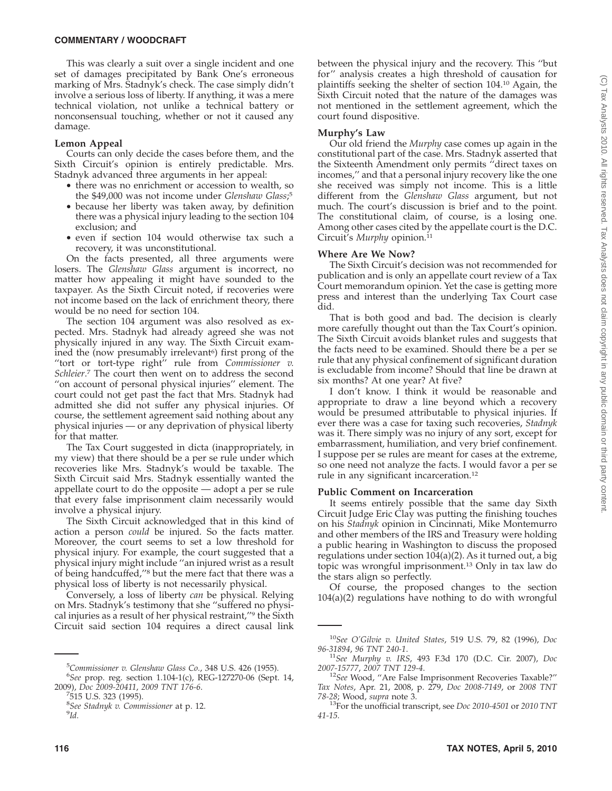This was clearly a suit over a single incident and one set of damages precipitated by Bank One's erroneous marking of Mrs. Stadnyk's check. The case simply didn't involve a serious loss of liberty. If anything, it was a mere technical violation, not unlike a technical battery or nonconsensual touching, whether or not it caused any damage.

#### **Lemon Appeal**

Courts can only decide the cases before them, and the Sixth Circuit's opinion is entirely predictable. Mrs. Stadnyk advanced three arguments in her appeal:

- there was no enrichment or accession to wealth, so the \$49,000 was not income under *Glenshaw Glass*; 5
- because her liberty was taken away, by definition there was a physical injury leading to the section 104 exclusion; and
- even if section 104 would otherwise tax such a recovery, it was unconstitutional.

On the facts presented, all three arguments were losers. The *Glenshaw Glass* argument is incorrect, no matter how appealing it might have sounded to the taxpayer. As the Sixth Circuit noted, if recoveries were not income based on the lack of enrichment theory, there would be no need for section 104.

The section 104 argument was also resolved as expected. Mrs. Stadnyk had already agreed she was not physically injured in any way. The Sixth Circuit examined the (now presumably irrelevant<sup>6</sup>) first prong of the ''tort or tort-type right'' rule from *Commissioner v. Schleier*. <sup>7</sup> The court then went on to address the second "on account of personal physical injuries" element. The court could not get past the fact that Mrs. Stadnyk had admitted she did not suffer any physical injuries. Of course, the settlement agreement said nothing about any physical injuries — or any deprivation of physical liberty for that matter.

The Tax Court suggested in dicta (inappropriately, in my view) that there should be a per se rule under which recoveries like Mrs. Stadnyk's would be taxable. The Sixth Circuit said Mrs. Stadnyk essentially wanted the appellate court to do the opposite — adopt a per se rule that every false imprisonment claim necessarily would involve a physical injury.

The Sixth Circuit acknowledged that in this kind of action a person *could* be injured. So the facts matter. Moreover, the court seems to set a low threshold for physical injury. For example, the court suggested that a physical injury might include ''an injured wrist as a result of being handcuffed,''8 but the mere fact that there was a physical loss of liberty is not necessarily physical.

Conversely, a loss of liberty *can* be physical. Relying on Mrs. Stadnyk's testimony that she ''suffered no physical injuries as a result of her physical restraint,''9 the Sixth Circuit said section 104 requires a direct causal link

<sup>5</sup> Commissioner v. Glenshaw Glass Co., 348 U.S. 426 (1955).<br><sup>6</sup>See prop. reg. section 1.104-1(c), REC-127270-06 (Sept. *See* prop. reg. section 1.104-1(c), REG-127270-06 (Sept. 14,

 $7515$  U.S. 323 (1995).

between the physical injury and the recovery. This ''but for'' analysis creates a high threshold of causation for plaintiffs seeking the shelter of section 104.10 Again, the Sixth Circuit noted that the nature of the damages was not mentioned in the settlement agreement, which the court found dispositive.

#### **Murphy's Law**

Our old friend the *Murphy* case comes up again in the constitutional part of the case. Mrs. Stadnyk asserted that the Sixteenth Amendment only permits ''direct taxes on incomes,'' and that a personal injury recovery like the one she received was simply not income. This is a little different from the *Glenshaw Glass* argument, but not much. The court's discussion is brief and to the point. The constitutional claim, of course, is a losing one. Among other cases cited by the appellate court is the D.C. Circuit's *Murphy* opinion.<sup>11</sup>

### **Where Are We Now?**

The Sixth Circuit's decision was not recommended for publication and is only an appellate court review of a Tax Court memorandum opinion. Yet the case is getting more press and interest than the underlying Tax Court case did.

That is both good and bad. The decision is clearly more carefully thought out than the Tax Court's opinion. The Sixth Circuit avoids blanket rules and suggests that the facts need to be examined. Should there be a per se rule that any physical confinement of significant duration is excludable from income? Should that line be drawn at six months? At one year? At five?

I don't know. I think it would be reasonable and appropriate to draw a line beyond which a recovery would be presumed attributable to physical injuries. If ever there was a case for taxing such recoveries, *Stadnyk* was it. There simply was no injury of any sort, except for embarrassment, humiliation, and very brief confinement. I suppose per se rules are meant for cases at the extreme, so one need not analyze the facts. I would favor a per se rule in any significant incarceration.12

#### **Public Comment on Incarceration**

It seems entirely possible that the same day Sixth Circuit Judge Eric Clay was putting the finishing touches on his *Stadnyk* opinion in Cincinnati, Mike Montemurro and other members of the IRS and Treasury were holding a public hearing in Washington to discuss the proposed regulations under section 104(a)(2). As it turned out, a big topic was wrongful imprisonment.13 Only in tax law do the stars align so perfectly.

Of course, the proposed changes to the section 104(a)(2) regulations have nothing to do with wrongful

<sup>2009),</sup> *Doc 2009-20411*, *2009 TNT 176-6*. <sup>7</sup>

<sup>&</sup>lt;sup>8</sup>See Stadnyk v. Commissioner at p. 12.<br><sup>9</sup>Id

*Id.*

<sup>10</sup>*See O'Gilvie v. United States*, 519 U.S. 79, 82 (1996), *Doc*

*<sup>96-31894</sup>*, *96 TNT 240-1*. <sup>11</sup>*See Murphy v. IRS*, 493 F.3d 170 (D.C. Cir. 2007), *Doc*

<sup>&</sup>lt;sup>12</sup>See Wood, "Are False Imprisonment Recoveries Taxable?" *Tax Notes*, Apr. 21, 2008, p. 279, *Doc 2008-7149*, or *2008 TNT*

<sup>&</sup>lt;sup>13</sup>For the unofficial transcript, see *Doc* 2010-4501 or 2010 TNT *41-15*.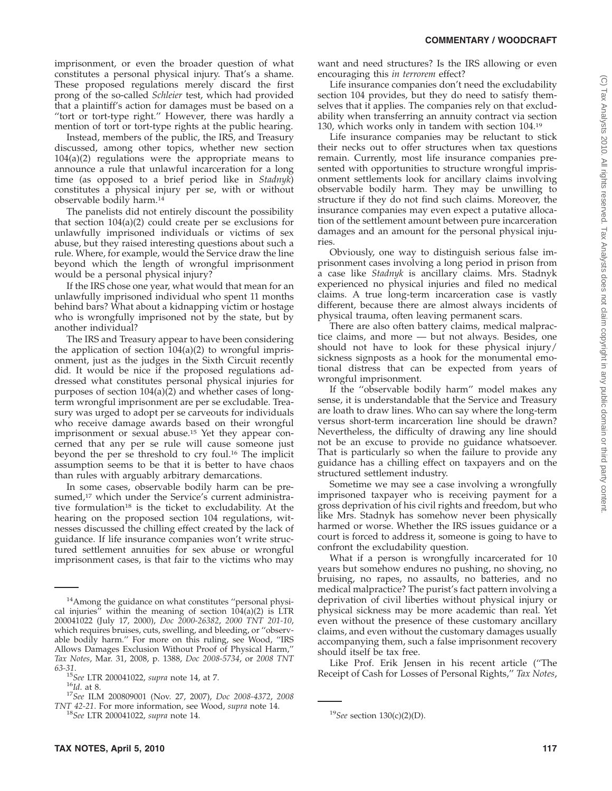imprisonment, or even the broader question of what constitutes a personal physical injury. That's a shame. These proposed regulations merely discard the first prong of the so-called *Schleier* test, which had provided that a plaintiff's action for damages must be based on a "tort or tort-type right." However, there was hardly a mention of tort or tort-type rights at the public hearing.

Instead, members of the public, the IRS, and Treasury discussed, among other topics, whether new section 104(a)(2) regulations were the appropriate means to announce a rule that unlawful incarceration for a long time (as opposed to a brief period like in *Stadnyk*) constitutes a physical injury per se, with or without observable bodily harm.14

The panelists did not entirely discount the possibility that section 104(a)(2) could create per se exclusions for unlawfully imprisoned individuals or victims of sex abuse, but they raised interesting questions about such a rule. Where, for example, would the Service draw the line beyond which the length of wrongful imprisonment would be a personal physical injury?

If the IRS chose one year, what would that mean for an unlawfully imprisoned individual who spent 11 months behind bars? What about a kidnapping victim or hostage who is wrongfully imprisoned not by the state, but by another individual?

The IRS and Treasury appear to have been considering the application of section  $104(a)(2)$  to wrongful imprisonment, just as the judges in the Sixth Circuit recently did. It would be nice if the proposed regulations addressed what constitutes personal physical injuries for purposes of section 104(a)(2) and whether cases of longterm wrongful imprisonment are per se excludable. Treasury was urged to adopt per se carveouts for individuals who receive damage awards based on their wrongful imprisonment or sexual abuse.15 Yet they appear concerned that any per se rule will cause someone just beyond the per se threshold to cry foul.16 The implicit assumption seems to be that it is better to have chaos than rules with arguably arbitrary demarcations.

In some cases, observable bodily harm can be presumed,<sup>17</sup> which under the Service's current administrative formulation<sup>18</sup> is the ticket to excludability. At the hearing on the proposed section 104 regulations, witnesses discussed the chilling effect created by the lack of guidance. If life insurance companies won't write structured settlement annuities for sex abuse or wrongful imprisonment cases, is that fair to the victims who may

want and need structures? Is the IRS allowing or even encouraging this *in terrorem* effect?

Life insurance companies don't need the excludability section 104 provides, but they do need to satisfy themselves that it applies. The companies rely on that excludability when transferring an annuity contract via section 130, which works only in tandem with section 104.19

Life insurance companies may be reluctant to stick their necks out to offer structures when tax questions remain. Currently, most life insurance companies presented with opportunities to structure wrongful imprisonment settlements look for ancillary claims involving observable bodily harm. They may be unwilling to structure if they do not find such claims. Moreover, the insurance companies may even expect a putative allocation of the settlement amount between pure incarceration damages and an amount for the personal physical injuries.

Obviously, one way to distinguish serious false imprisonment cases involving a long period in prison from a case like *Stadnyk* is ancillary claims. Mrs. Stadnyk experienced no physical injuries and filed no medical claims. A true long-term incarceration case is vastly different, because there are almost always incidents of physical trauma, often leaving permanent scars.

There are also often battery claims, medical malpractice claims, and more — but not always. Besides, one should not have to look for these physical injury/ sickness signposts as a hook for the monumental emotional distress that can be expected from years of wrongful imprisonment.

If the ''observable bodily harm'' model makes any sense, it is understandable that the Service and Treasury are loath to draw lines. Who can say where the long-term versus short-term incarceration line should be drawn? Nevertheless, the difficulty of drawing any line should not be an excuse to provide no guidance whatsoever. That is particularly so when the failure to provide any guidance has a chilling effect on taxpayers and on the structured settlement industry.

Sometime we may see a case involving a wrongfully imprisoned taxpayer who is receiving payment for a gross deprivation of his civil rights and freedom, but who like Mrs. Stadnyk has somehow never been physically harmed or worse. Whether the IRS issues guidance or a court is forced to address it, someone is going to have to confront the excludability question.

What if a person is wrongfully incarcerated for 10 years but somehow endures no pushing, no shoving, no bruising, no rapes, no assaults, no batteries, and no medical malpractice? The purist's fact pattern involving a deprivation of civil liberties without physical injury or physical sickness may be more academic than real. Yet even without the presence of these customary ancillary claims, and even without the customary damages usually accompanying them, such a false imprisonment recovery should itself be tax free.

Like Prof. Erik Jensen in his recent article (''The Receipt of Cash for Losses of Personal Rights,'' *Tax Notes*,

<sup>&</sup>lt;sup>14</sup>Among the guidance on what constitutes "personal physical injuries" within the meaning of section  $104(a)(2)$  is LTR 200041022 (July 17, 2000), *Doc 2000-26382*, *2000 TNT 201-10*, which requires bruises, cuts, swelling, and bleeding, or ''observable bodily harm.'' For more on this ruling, see Wood, ''IRS Allows Damages Exclusion Without Proof of Physical Harm,'' *Tax Notes*, Mar. 31, 2008, p. 1388, *Doc 2008-5734*, or *2008 TNT*

*<sup>63-31</sup>*. <sup>15</sup>*See* LTR 200041022, *supra* note 14, at 7. <sup>16</sup>*Id*. at 8. <sup>17</sup>*See* ILM 200809001 (Nov. 27, 2007), *Doc 2008-4372*, *<sup>2008</sup> TNT 42-21*. For more information, see Wood, *supra* note 14. <sup>18</sup>*See* section 130(c)(2)(D).